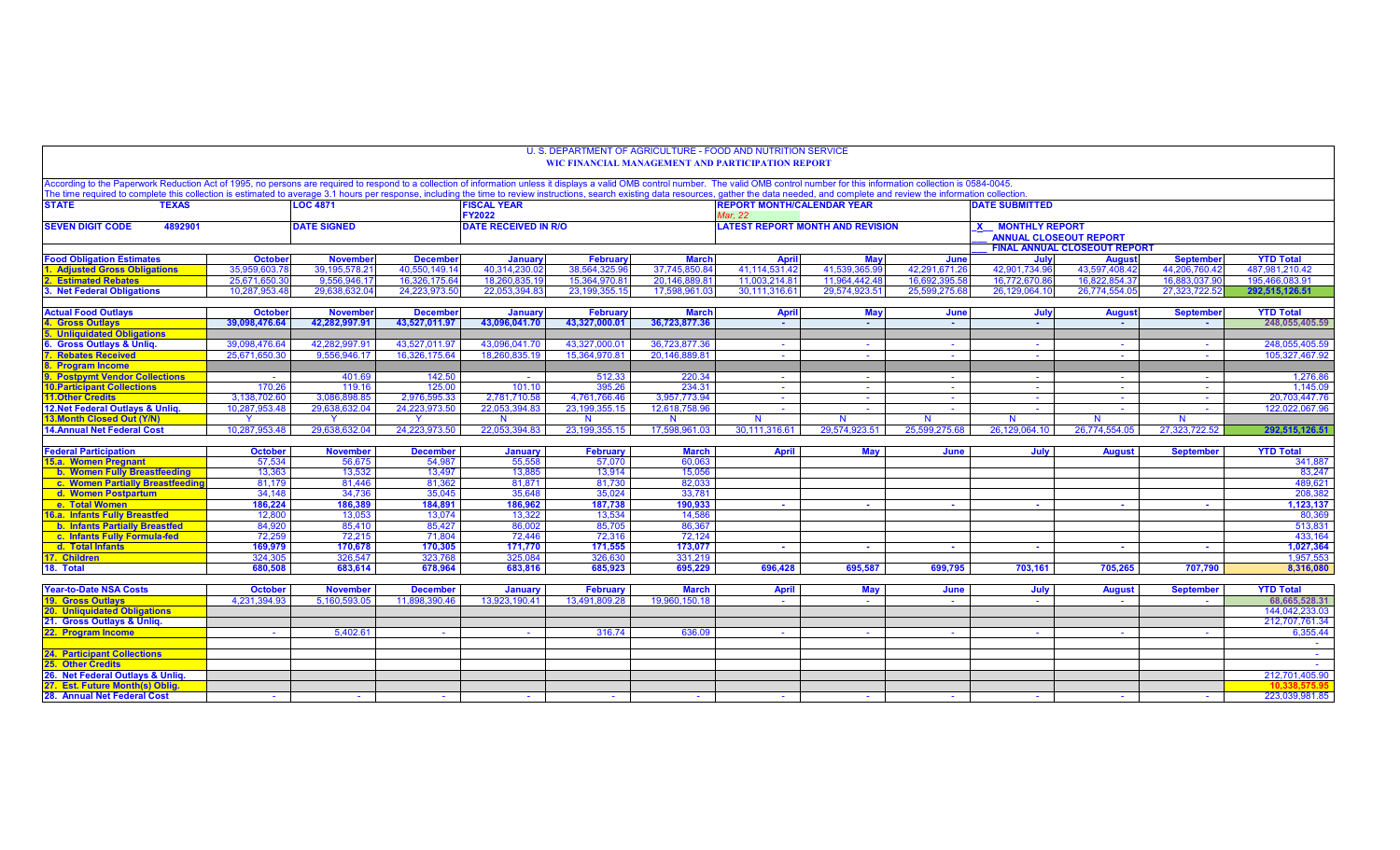|                                                                                                                                                                                                                                                                                                                                                                                                                                                                  |                           |                        |                               |                              |                    | U. S. DEPARTMENT OF AGRICULTURE - FOOD AND NUTRITION SERVICE<br><b>WIC FINANCIAL MANAGEMENT AND PARTICIPATION REPORT</b> |                                              |                                  |                    |                                                                    |                                     |                    |                  |
|------------------------------------------------------------------------------------------------------------------------------------------------------------------------------------------------------------------------------------------------------------------------------------------------------------------------------------------------------------------------------------------------------------------------------------------------------------------|---------------------------|------------------------|-------------------------------|------------------------------|--------------------|--------------------------------------------------------------------------------------------------------------------------|----------------------------------------------|----------------------------------|--------------------|--------------------------------------------------------------------|-------------------------------------|--------------------|------------------|
| According to the Paperwork Reduction Act of 1995, no persons are required to respond to a collection of information unless it displays a valid OMB control number. The valid OMB control number for this information collectio<br>The time required to complete this collection is estimated to average 3.1 hours per response, including the time to review instructions, search existing data resources, gather the data needed, and complete and review the i |                           |                        |                               |                              |                    |                                                                                                                          |                                              |                                  |                    |                                                                    |                                     |                    |                  |
| <b>STATE</b><br><b>TEXAS</b>                                                                                                                                                                                                                                                                                                                                                                                                                                     |                           | <b>LOC 4871</b>        |                               | <b>FISCAL YEAR</b><br>FY2022 |                    |                                                                                                                          | <b>REPORT MONTH/CALENDAR YEAR</b><br>Mar. 22 |                                  |                    | <b>DATE SUBMITTED</b>                                              |                                     |                    |                  |
| <b>SEVEN DIGIT CODE</b><br>4892901                                                                                                                                                                                                                                                                                                                                                                                                                               |                           | <b>DATE SIGNED</b>     |                               | <b>DATE RECEIVED IN R/O</b>  |                    |                                                                                                                          |                                              | LATEST REPORT MONTH AND REVISION |                    | <b>MONTHLY REPORT</b><br><b>X</b><br><b>ANNUAL CLOSEOUT REPORT</b> |                                     |                    |                  |
|                                                                                                                                                                                                                                                                                                                                                                                                                                                                  |                           |                        |                               |                              |                    |                                                                                                                          |                                              |                                  |                    |                                                                    | <b>FINAL ANNUAL CLOSEOUT REPORT</b> |                    |                  |
| <b>Food Obligation Estimates</b>                                                                                                                                                                                                                                                                                                                                                                                                                                 | <b>October</b>            | <b>November</b>        | <b>December</b>               | January                      | <b>February</b>    | <b>March</b>                                                                                                             | <b>April</b>                                 | <b>May</b>                       | June               | July                                                               | <b>August</b>                       | <b>September</b>   | <b>YTD Total</b> |
| <b>Adjusted Gross Obligations</b>                                                                                                                                                                                                                                                                                                                                                                                                                                | 35.959.603.7              | 39.195.578.2           | 40.550.149.1                  | 40.314.230.0                 | 38.564.325.96      | 37.745.850.8                                                                                                             | 41,114,531.42                                | 41.539.365.99                    | 42,291,671.26      | 42,901,734.9                                                       | 43.597.408.42                       | 44,206,760.42      | 487,981,210.42   |
| <b>Estimated Rebates</b>                                                                                                                                                                                                                                                                                                                                                                                                                                         | 25,671,650.3              | 9.556.946.17           | 16.326.175.64                 | 18.260.835.1                 | 15.364.970.8       | 20.146.889.8                                                                                                             | 11.003.214.8                                 | 11.964.442.48                    | 16.692.395.58      | 16.772.670.86                                                      | 16.822.854.3                        | 16.883.037.90      | 195.466.083.91   |
| 3. Net Federal Obligations                                                                                                                                                                                                                                                                                                                                                                                                                                       | 10.287.953.48             | 29.638.632.04          | 24.223.973.50                 | 22.053.394.83                | 23.199.355.15      | 17.598.961.03                                                                                                            | 30.111.316.61                                | 29.574.923.51                    | 25.599.275.68      | 26.129.064.10                                                      | 26.774.554.0                        | 27.323.722.52      | 292.515.126.51   |
|                                                                                                                                                                                                                                                                                                                                                                                                                                                                  |                           |                        |                               |                              |                    |                                                                                                                          |                                              |                                  |                    |                                                                    |                                     |                    |                  |
| <b>Actual Food Outlays</b>                                                                                                                                                                                                                                                                                                                                                                                                                                       | <b>October</b>            | <b>November</b>        | <b>December</b>               | January                      | <b>February</b>    | <b>March</b>                                                                                                             | <b>April</b>                                 | <b>May</b>                       | June               | July                                                               | <b>August</b>                       | <b>September</b>   | <b>YTD Total</b> |
| <b>Gross Outlays</b>                                                                                                                                                                                                                                                                                                                                                                                                                                             | 39,098,476.64             | 42.282.997.91          | 43.527.011.97                 | 43,096,041.70                | 43.327.000.01      | 36,723,877.36                                                                                                            | $\sim$                                       | <b>Section</b>                   | <b>Section</b>     | $\sim$                                                             | $\sim$                              | $\sim$             | 248.055.405.59   |
| <b>Unliquidated Obligations</b>                                                                                                                                                                                                                                                                                                                                                                                                                                  |                           |                        |                               |                              |                    |                                                                                                                          |                                              |                                  |                    |                                                                    |                                     |                    |                  |
| <b>Gross Outlays &amp; Unliq.</b>                                                                                                                                                                                                                                                                                                                                                                                                                                | 39,098,476.64             | 42,282,997.91          | 43.527.011.97                 | 43.096.041.70                | 43,327,000.01      | 36,723,877.36                                                                                                            | $\sim$                                       | <b>Section</b>                   | <b>Section</b>     | $\sim$                                                             | $\sim$                              | <b>Section</b>     | 248,055,405.59   |
| <b>Rebates Received</b>                                                                                                                                                                                                                                                                                                                                                                                                                                          | 25.671.650.30             | 9.556.946.17           | 16.326.175.64                 | 18.260.835.19                | 15,364,970.81      | 20.146.889.81                                                                                                            | $\sim$                                       | <b>Section</b>                   | $\sim$             | $\sim$                                                             | $\sim$                              | $\sim$             | 105.327.467.92   |
| <b>Program Income</b>                                                                                                                                                                                                                                                                                                                                                                                                                                            |                           |                        |                               |                              |                    |                                                                                                                          |                                              |                                  |                    |                                                                    |                                     |                    |                  |
| <b>Postpymt Vendor Collections</b>                                                                                                                                                                                                                                                                                                                                                                                                                               | $\sim$                    | 401.69                 | 142.50                        | $\sim$<br>101.10             | 512.33             | 220.34                                                                                                                   | $\sim$                                       | $\sim$                           | $\sim$             | $\sim$                                                             | $\sim$                              | $\sim$             | 1.276.86         |
| <b>10. Participant Collections</b>                                                                                                                                                                                                                                                                                                                                                                                                                               | 170.26                    | 119.16<br>3.086.898.85 | 125.00                        |                              | 395.26             | 234.31                                                                                                                   | $\sim$                                       | $\sim$                           | $\sim$             | $\sim$                                                             | $\sim$                              | $\sim$             | 1.145.09         |
| <b>11.Other Credits</b>                                                                                                                                                                                                                                                                                                                                                                                                                                          | 3.138.702.60              |                        | 2.976.595.33                  | 2.781.710.58                 | 4.761.766.46       | 3.957.773.94                                                                                                             | $\sim$                                       | $\sim$                           | <b>College</b>     | $\sim$                                                             | $\sim$                              | $\sim$             | 20.703.447.76    |
| 12. Net Federal Outlays & Unliq.                                                                                                                                                                                                                                                                                                                                                                                                                                 | 10,287,953.48             | 29,638,632.04<br>Y     | 24,223,973.50<br>$\mathbf{Y}$ | 22,053,394.83                | 23, 199, 355. 15   | 12.618.758.96                                                                                                            | $\sim$                                       | $\sim$                           | <b>Section</b>     | $\sim$                                                             | $\sim$                              | $\sim$             | 122,022,067.96   |
| 13. Month Closed Out (Y/N)<br><b>14. Annual Net Federal Cost</b>                                                                                                                                                                                                                                                                                                                                                                                                 | <b>Y</b><br>10,287,953.48 | 29.638.632.04          | 24.223.973.50                 | $\mathbf N$<br>22.053.394.83 | N<br>23.199.355.15 | N<br>17.598.961.03                                                                                                       | $\mathbf N$<br>30.111.316.61                 | N<br>29.574.923.51               | N<br>25.599.275.68 | N<br>26.129.064.10                                                 | N<br>26.774.554.05                  | N<br>27.323.722.52 | 292,515,126.51   |
|                                                                                                                                                                                                                                                                                                                                                                                                                                                                  |                           |                        |                               |                              |                    |                                                                                                                          |                                              |                                  |                    |                                                                    |                                     |                    |                  |
| <b>Federal Participation</b>                                                                                                                                                                                                                                                                                                                                                                                                                                     | <b>October</b>            | <b>November</b>        | <b>December</b>               | January                      | <b>February</b>    | <b>March</b>                                                                                                             | <b>April</b>                                 | <b>May</b>                       | June               | July                                                               | <b>August</b>                       | <b>September</b>   | <b>YTD Total</b> |
| 15.a. Women Pregnant                                                                                                                                                                                                                                                                                                                                                                                                                                             | 57,534                    | 56,675                 | 54,987                        | 55,558                       | 57,070             | 60.063                                                                                                                   |                                              |                                  |                    |                                                                    |                                     |                    | 341,887          |
| b. Women Fully Breastfeeding                                                                                                                                                                                                                                                                                                                                                                                                                                     | 13.363                    | 13.532                 | 13.497                        | 13.885                       | 13.914             | 15.056                                                                                                                   |                                              |                                  |                    |                                                                    |                                     |                    | 83.247           |
| c. Women Partially Breastfeeding                                                                                                                                                                                                                                                                                                                                                                                                                                 | 81,179                    | 81,446                 | 81,362                        | 81,871                       | 81,730             | 82.033                                                                                                                   |                                              |                                  |                    |                                                                    |                                     |                    | 489,621          |
| d. Women Postpartum                                                                                                                                                                                                                                                                                                                                                                                                                                              | 34.148                    | 34.736                 | 35,045                        | 35.648                       | 35.024             | 33.781                                                                                                                   |                                              |                                  |                    |                                                                    |                                     |                    | 208.382          |
| e. Total Women                                                                                                                                                                                                                                                                                                                                                                                                                                                   | 186,224                   | 186,389                | 184,891                       | 186,962                      | 187,738            | 190,933                                                                                                                  | $\sim$                                       | $\sim$                           | <b>Section</b>     | $\sim$                                                             | $\sim$                              | $\sim$             | 1,123,137        |
| 16.a. Infants Fully Breastfed                                                                                                                                                                                                                                                                                                                                                                                                                                    | 12,800                    | 13,053                 | 13,074                        | 13,322                       | 13,534             | 14.586                                                                                                                   |                                              |                                  |                    |                                                                    |                                     |                    | 80,369           |
| <b>b. Infants Partially Breastfed</b>                                                                                                                                                                                                                                                                                                                                                                                                                            | 84,920                    | 85,410                 | 85,427                        | 86,002                       | 85,705             | 86.367                                                                                                                   |                                              |                                  |                    |                                                                    |                                     |                    | 513,831          |
| c. Infants Fully Formula-fed                                                                                                                                                                                                                                                                                                                                                                                                                                     | 72,259                    | 72.215                 | 71.804                        | 72,446                       | 72,316             | 72.124                                                                                                                   |                                              |                                  |                    |                                                                    |                                     |                    | 433,164          |
| d. Total Infants                                                                                                                                                                                                                                                                                                                                                                                                                                                 | 169,979                   | 170.678                | 170.305                       | 171.770                      | 171.555            | 173.077                                                                                                                  | . .                                          | <b>College</b>                   | a.                 | $\sim$                                                             | <b>Section</b>                      | a.                 | 1.027.364        |
| 17. Children                                                                                                                                                                                                                                                                                                                                                                                                                                                     | 324,305                   | 326.547                | 323,768                       | 325,084                      | 326,630            | 331,219                                                                                                                  |                                              |                                  |                    |                                                                    |                                     |                    | 1,957,553        |
| 18. Total                                                                                                                                                                                                                                                                                                                                                                                                                                                        | 680,508                   | 683,614                | 678,964                       | 683,816                      | 685,923            | 695,229                                                                                                                  | 696,428                                      | 695,587                          | 699,795            | 703,161                                                            | 705,265                             | 707.790            | 8,316,080        |
|                                                                                                                                                                                                                                                                                                                                                                                                                                                                  |                           |                        |                               |                              |                    |                                                                                                                          |                                              |                                  |                    |                                                                    |                                     |                    |                  |
| <b>Year-to-Date NSA Costs</b>                                                                                                                                                                                                                                                                                                                                                                                                                                    | <b>October</b>            | <b>November</b>        | <b>December</b>               | January                      | <b>February</b>    | <b>March</b>                                                                                                             | <b>April</b>                                 | <b>May</b>                       | June               | July                                                               | <b>August</b>                       | <b>September</b>   | <b>YTD Total</b> |
| <b>19. Gross Outlavs</b>                                                                                                                                                                                                                                                                                                                                                                                                                                         | 4.231.394.93              | 5.160.593.05           | 11.898.390.46                 | 13.923.190.41                | 13.491.809.28      | 19.960.150.18                                                                                                            |                                              | $\sim$                           |                    |                                                                    |                                     |                    | 68.665.528.31    |
| <b>20. Unliquidated Obligations</b>                                                                                                                                                                                                                                                                                                                                                                                                                              |                           |                        |                               |                              |                    |                                                                                                                          |                                              |                                  |                    |                                                                    |                                     |                    | 144,042,233.03   |
| 21. Gross Outlays & Unlig                                                                                                                                                                                                                                                                                                                                                                                                                                        |                           |                        |                               |                              |                    |                                                                                                                          |                                              |                                  |                    |                                                                    |                                     |                    | 212.707.761.34   |
| 22. Program Income                                                                                                                                                                                                                                                                                                                                                                                                                                               |                           | 5,402.61               |                               | $\sim$                       | 316.74             | 636.09                                                                                                                   |                                              | $\sim$                           |                    | $\sim$                                                             |                                     | $\sim$             | 6,355.44         |
|                                                                                                                                                                                                                                                                                                                                                                                                                                                                  |                           |                        |                               |                              |                    |                                                                                                                          |                                              |                                  |                    |                                                                    |                                     |                    | <b>Contract</b>  |
| <b>24. Participant Collections</b>                                                                                                                                                                                                                                                                                                                                                                                                                               |                           |                        |                               |                              |                    |                                                                                                                          |                                              |                                  |                    |                                                                    |                                     |                    | $\sim 10^{-10}$  |
| 25. Other Credits                                                                                                                                                                                                                                                                                                                                                                                                                                                |                           |                        |                               |                              |                    |                                                                                                                          |                                              |                                  |                    |                                                                    |                                     |                    | $\sim$           |
| 26. Net Federal Outlays & Unlig.                                                                                                                                                                                                                                                                                                                                                                                                                                 |                           |                        |                               |                              |                    |                                                                                                                          |                                              |                                  |                    |                                                                    |                                     |                    | 212.701.405.90   |
| 27. Est. Future Month(s) Oblia.                                                                                                                                                                                                                                                                                                                                                                                                                                  |                           |                        |                               |                              |                    |                                                                                                                          |                                              |                                  |                    |                                                                    |                                     |                    | 10.338.575.95    |
| 28. Annual Net Federal Cost                                                                                                                                                                                                                                                                                                                                                                                                                                      | $\sim$                    | $\sim$                 | $\sim$                        | $\sim$                       |                    | $\sim$                                                                                                                   |                                              | <b>Section</b>                   |                    | $\sim$                                                             | $\sim$                              | $\sim$             | 223,039,981.85   |